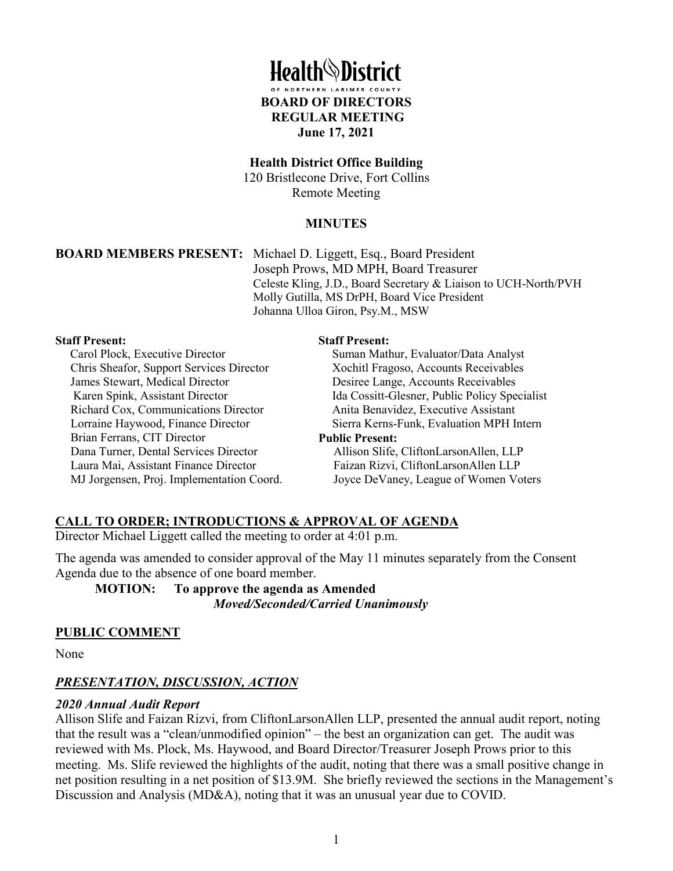

#### **Health District Office Building**

120 Bristlecone Drive, Fort Collins Remote Meeting

### **MINUTES**

**BOARD MEMBERS PRESENT:** Michael D. Liggett, Esq., Board President Joseph Prows, MD MPH, Board Treasurer Celeste Kling, J.D., Board Secretary & Liaison to UCH-North/PVH Molly Gutilla, MS DrPH, Board Vice President Johanna Ulloa Giron, Psy.M., MSW

#### **Staff Present:**

Carol Plock, Executive Director Chris Sheafor, Support Services Director James Stewart, Medical Director Karen Spink, Assistant Director Richard Cox, Communications Director Lorraine Haywood, Finance Director Brian Ferrans, CIT Director Dana Turner, Dental Services Director Laura Mai, Assistant Finance Director MJ Jorgensen, Proj. Implementation Coord.

#### **Staff Present:**

Suman Mathur, Evaluator/Data Analyst Xochitl Fragoso, Accounts Receivables Desiree Lange, Accounts Receivables Ida Cossitt-Glesner, Public Policy Specialist Anita Benavidez, Executive Assistant Sierra Kerns-Funk, Evaluation MPH Intern **Public Present:** Allison Slife, CliftonLarsonAllen, LLP Faizan Rizvi, CliftonLarsonAllen LLP Joyce DeVaney, League of Women Voters

# **CALL TO ORDER; INTRODUCTIONS & APPROVAL OF AGENDA**

Director Michael Liggett called the meeting to order at 4:01 p.m.

The agenda was amended to consider approval of the May 11 minutes separately from the Consent Agenda due to the absence of one board member.

**MOTION: To approve the agenda as Amended** *Moved/Seconded/Carried Unanimously* 

#### **PUBLIC COMMENT**

None

### *PRESENTATION, DISCUSSION, ACTION*

#### *2020 Annual Audit Report*

Allison Slife and Faizan Rizvi, from CliftonLarsonAllen LLP, presented the annual audit report, noting that the result was a "clean/unmodified opinion" – the best an organization can get. The audit was reviewed with Ms. Plock, Ms. Haywood, and Board Director/Treasurer Joseph Prows prior to this meeting. Ms. Slife reviewed the highlights of the audit, noting that there was a small positive change in net position resulting in a net position of \$13.9M. She briefly reviewed the sections in the Management's Discussion and Analysis (MD&A), noting that it was an unusual year due to COVID.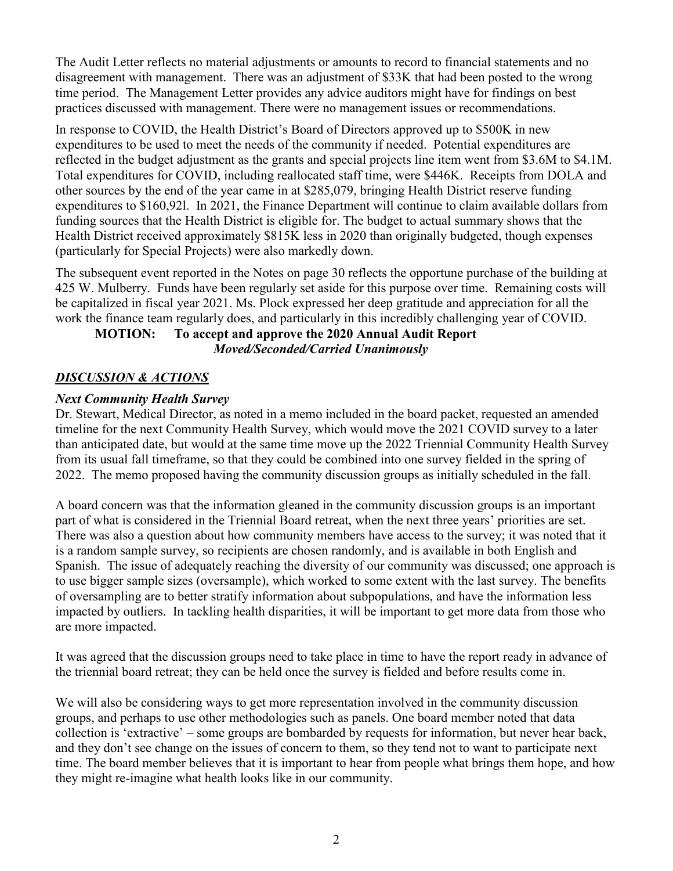The Audit Letter reflects no material adjustments or amounts to record to financial statements and no disagreement with management. There was an adjustment of \$33K that had been posted to the wrong time period. The Management Letter provides any advice auditors might have for findings on best practices discussed with management. There were no management issues or recommendations.

In response to COVID, the Health District's Board of Directors approved up to \$500K in new expenditures to be used to meet the needs of the community if needed. Potential expenditures are reflected in the budget adjustment as the grants and special projects line item went from \$3.6M to \$4.1M. Total expenditures for COVID, including reallocated staff time, were \$446K. Receipts from DOLA and other sources by the end of the year came in at \$285,079, bringing Health District reserve funding expenditures to \$160,92l. In 2021, the Finance Department will continue to claim available dollars from funding sources that the Health District is eligible for. The budget to actual summary shows that the Health District received approximately \$815K less in 2020 than originally budgeted, though expenses (particularly for Special Projects) were also markedly down.

The subsequent event reported in the Notes on page 30 reflects the opportune purchase of the building at 425 W. Mulberry. Funds have been regularly set aside for this purpose over time. Remaining costs will be capitalized in fiscal year 2021. Ms. Plock expressed her deep gratitude and appreciation for all the work the finance team regularly does, and particularly in this incredibly challenging year of COVID.

# **MOTION: To accept and approve the 2020 Annual Audit Report** *Moved/Seconded/Carried Unanimously*

# *DISCUSSION & ACTIONS*

# *Next Community Health Survey*

Dr. Stewart, Medical Director, as noted in a memo included in the board packet, requested an amended timeline for the next Community Health Survey, which would move the 2021 COVID survey to a later than anticipated date, but would at the same time move up the 2022 Triennial Community Health Survey from its usual fall timeframe, so that they could be combined into one survey fielded in the spring of 2022. The memo proposed having the community discussion groups as initially scheduled in the fall.

A board concern was that the information gleaned in the community discussion groups is an important part of what is considered in the Triennial Board retreat, when the next three years' priorities are set. There was also a question about how community members have access to the survey; it was noted that it is a random sample survey, so recipients are chosen randomly, and is available in both English and Spanish. The issue of adequately reaching the diversity of our community was discussed; one approach is to use bigger sample sizes (oversample), which worked to some extent with the last survey. The benefits of oversampling are to better stratify information about subpopulations, and have the information less impacted by outliers. In tackling health disparities, it will be important to get more data from those who are more impacted.

It was agreed that the discussion groups need to take place in time to have the report ready in advance of the triennial board retreat; they can be held once the survey is fielded and before results come in.

We will also be considering ways to get more representation involved in the community discussion groups, and perhaps to use other methodologies such as panels. One board member noted that data collection is 'extractive' – some groups are bombarded by requests for information, but never hear back, and they don't see change on the issues of concern to them, so they tend not to want to participate next time. The board member believes that it is important to hear from people what brings them hope, and how they might re-imagine what health looks like in our community.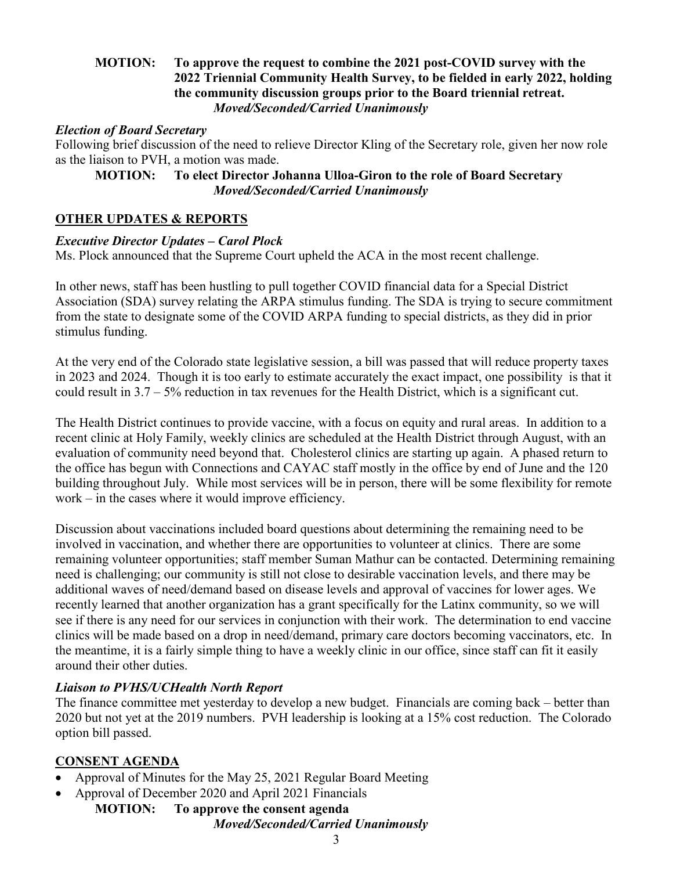# **MOTION: To approve the request to combine the 2021 post-COVID survey with the 2022 Triennial Community Health Survey, to be fielded in early 2022, holding the community discussion groups prior to the Board triennial retreat.** *Moved/Seconded/Carried Unanimously*

## *Election of Board Secretary*

Following brief discussion of the need to relieve Director Kling of the Secretary role, given her now role as the liaison to PVH, a motion was made.

## **MOTION: To elect Director Johanna Ulloa-Giron to the role of Board Secretary** *Moved/Seconded/Carried Unanimously*

# **OTHER UPDATES & REPORTS**

## *Executive Director Updates – Carol Plock*

Ms. Plock announced that the Supreme Court upheld the ACA in the most recent challenge.

In other news, staff has been hustling to pull together COVID financial data for a Special District Association (SDA) survey relating the ARPA stimulus funding. The SDA is trying to secure commitment from the state to designate some of the COVID ARPA funding to special districts, as they did in prior stimulus funding.

At the very end of the Colorado state legislative session, a bill was passed that will reduce property taxes in 2023 and 2024. Though it is too early to estimate accurately the exact impact, one possibility is that it could result in 3.7 – 5% reduction in tax revenues for the Health District, which is a significant cut.

The Health District continues to provide vaccine, with a focus on equity and rural areas. In addition to a recent clinic at Holy Family, weekly clinics are scheduled at the Health District through August, with an evaluation of community need beyond that. Cholesterol clinics are starting up again. A phased return to the office has begun with Connections and CAYAC staff mostly in the office by end of June and the 120 building throughout July. While most services will be in person, there will be some flexibility for remote work – in the cases where it would improve efficiency.

Discussion about vaccinations included board questions about determining the remaining need to be involved in vaccination, and whether there are opportunities to volunteer at clinics. There are some remaining volunteer opportunities; staff member Suman Mathur can be contacted. Determining remaining need is challenging; our community is still not close to desirable vaccination levels, and there may be additional waves of need/demand based on disease levels and approval of vaccines for lower ages. We recently learned that another organization has a grant specifically for the Latinx community, so we will see if there is any need for our services in conjunction with their work. The determination to end vaccine clinics will be made based on a drop in need/demand, primary care doctors becoming vaccinators, etc. In the meantime, it is a fairly simple thing to have a weekly clinic in our office, since staff can fit it easily around their other duties.

# *Liaison to PVHS/UCHealth North Report*

The finance committee met yesterday to develop a new budget. Financials are coming back – better than 2020 but not yet at the 2019 numbers. PVH leadership is looking at a 15% cost reduction. The Colorado option bill passed.

# **CONSENT AGENDA**

- Approval of Minutes for the May 25, 2021 Regular Board Meeting
- Approval of December 2020 and April 2021 Financials
	- **MOTION: To approve the consent agenda**  *Moved/Seconded/Carried Unanimously*